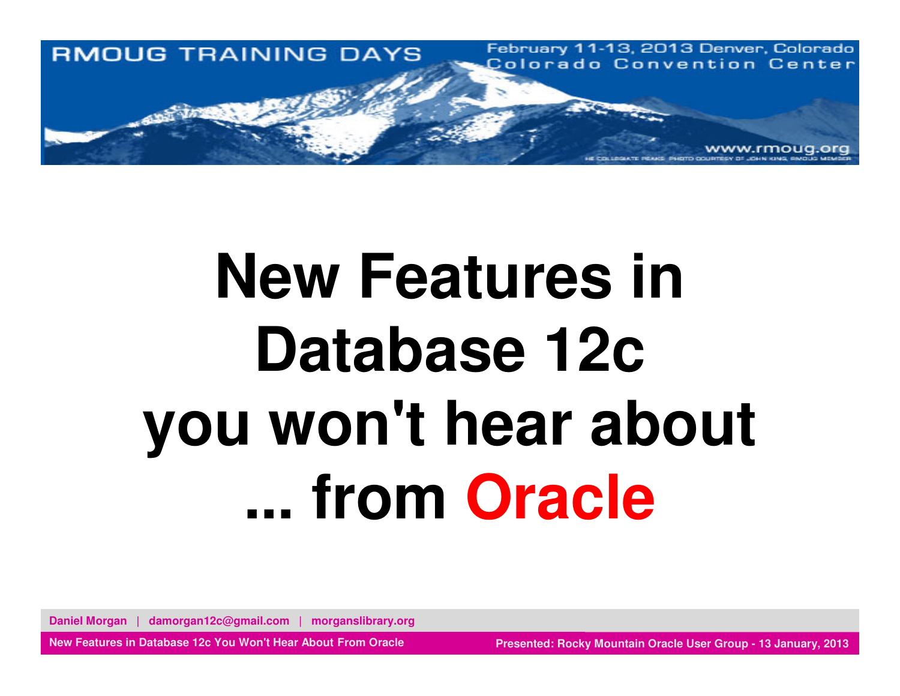

# **New Features in Database 12c you won't hear about ... from Oracle**

**Daniel Morgan | damorgan12c@gmail.com | morganslibrary.org**

**New Features in Database 12c You Won't Hear About From Oracle**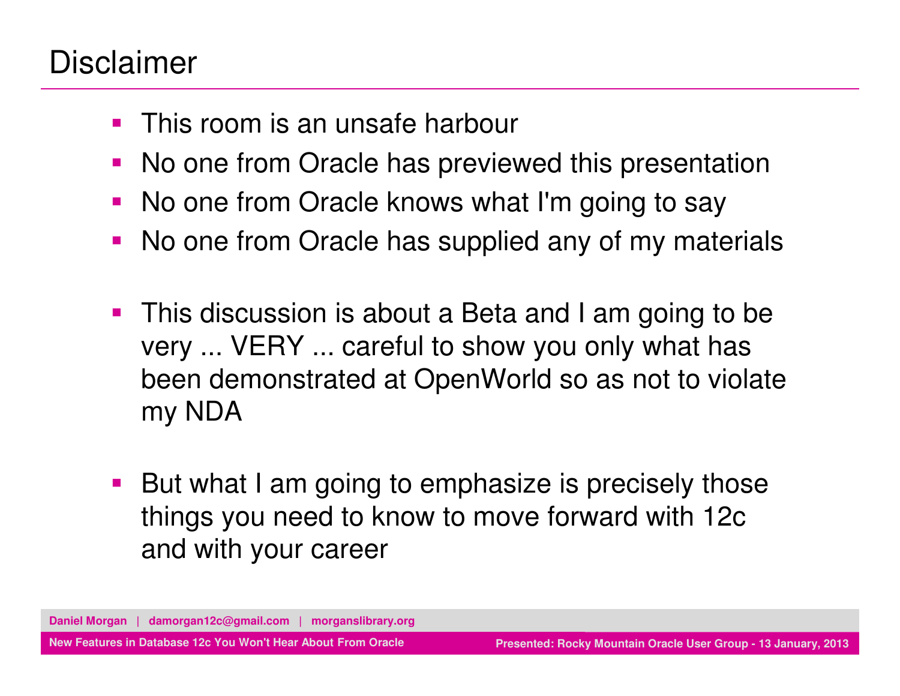#### Disclaimer

- $\mathcal{L}_{\mathcal{A}}$ This room is an unsafe harbour
- **No one from Oracle has previewed this presentation**
- **No one from Oracle knows what I'm going to say**
- $\blacksquare$ No one from Oracle has supplied any of my materials
- $\overline{\phantom{a}}$  This discussion is about a Beta and I am going to be very ... VERY ... careful to show you only what has been demonstrated at OpenWorld so as not to violate my NDA
- $\mathcal{L}_{\mathcal{A}}$  But what I am going to emphasize is precisely those things you need to know to move forward with 12c and with your career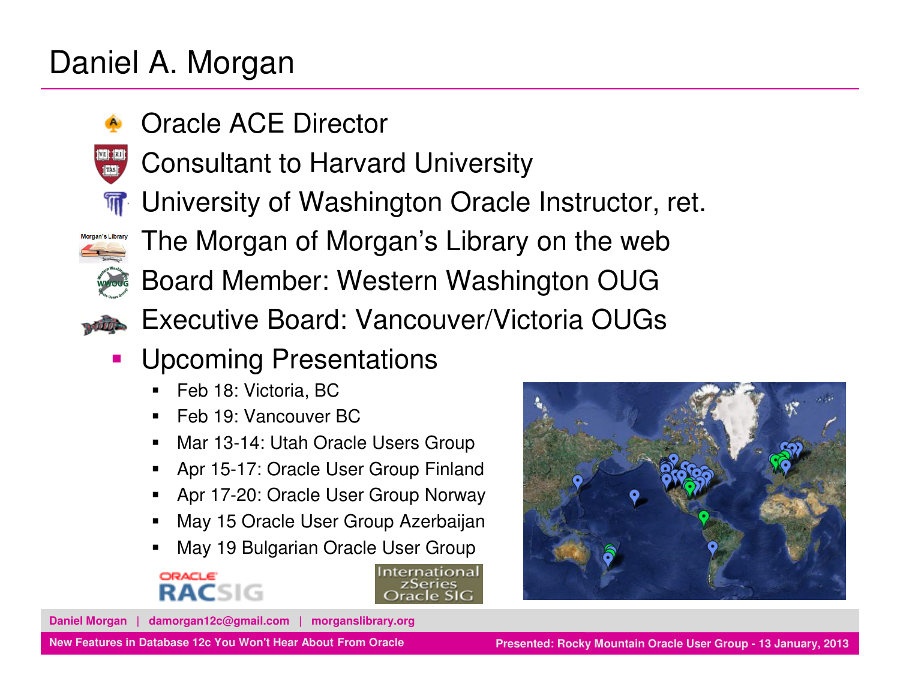#### Daniel A. Morgan

- ٩. Oracle ACE Director
- Ξ Consultant to Harvard University
- **त** University of Washington Oracle Instructor, ret.
- Morgan's Library

.,

- The Morgan of Morgan's Library on the web
- Board Member: Western Washington OUG
- **Executive Board: Vancouver/Victoria OUGs** ь
- $\blacksquare$  Upcoming Presentations
	- Feb 18: Victoria, BC
	- Feb 19: Vancouver BC
	- Mar 13-14: Utah Oracle Users Group■
	- Apr 15-17: Oracle User Group Finland
	- Apr 17-20: Oracle User Group Norway
	- May 15 Oracle User Group Azerbaijan
	- May 19 Bulgarian Oracle User Group



nternational zSeries



**Daniel Morgan | damorgan12c@gmail.com | morganslibrary.org**

**New Features in Database 12c You Won't Hear About From Oracle**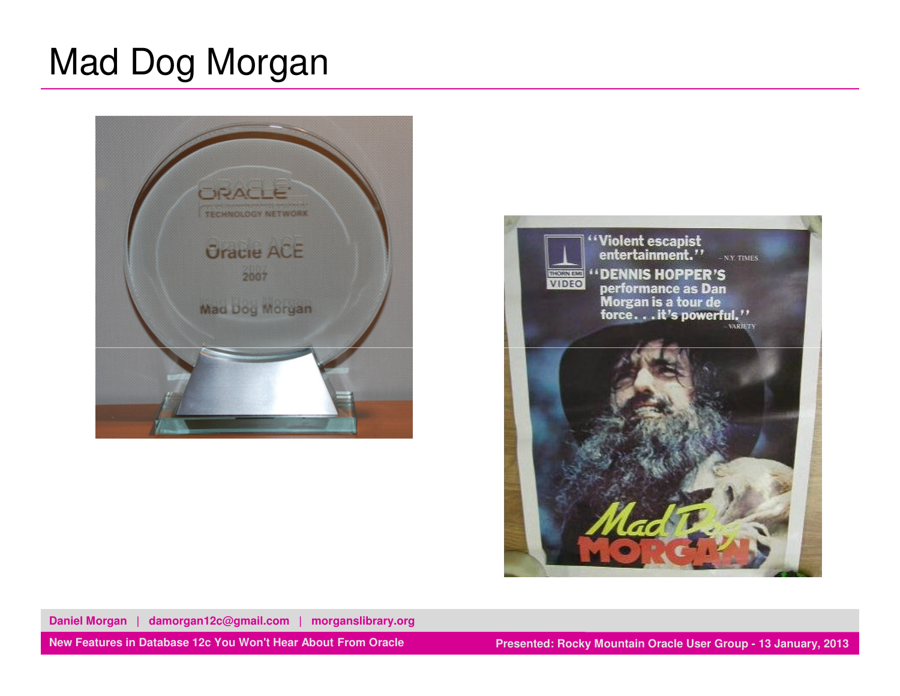## Mad Dog Morgan





**Daniel Morgan | damorgan12c@gmail.com | morganslibrary.org**

**New Features in Database 12c You Won't Hear About From Oracle**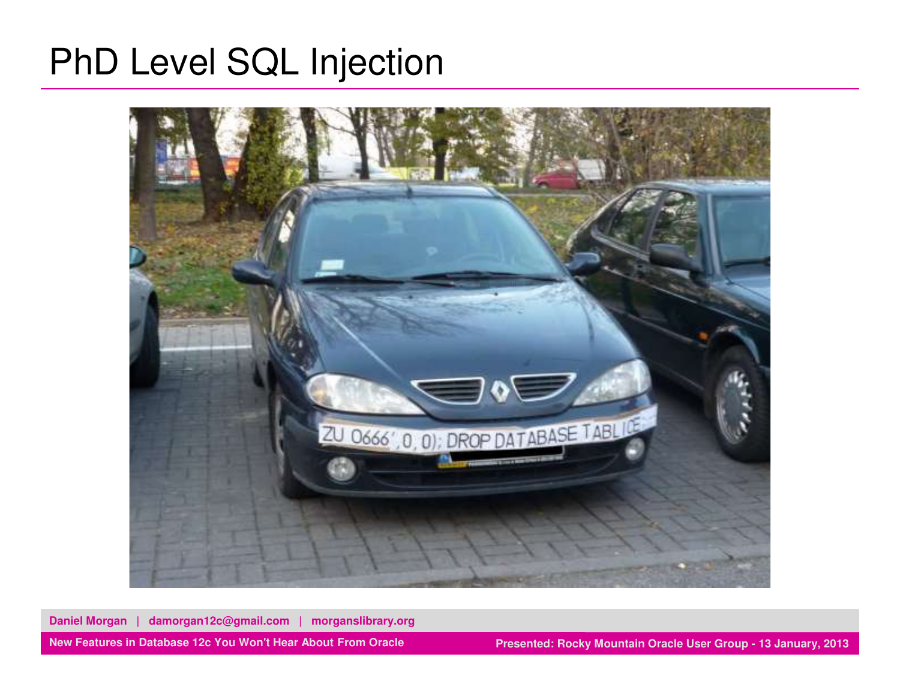## PhD Level SQL Injection



**Daniel Morgan | damorgan12c@gmail.com | morganslibrary.org**

**New Features in Database 12c You Won't Hear About From Oracle**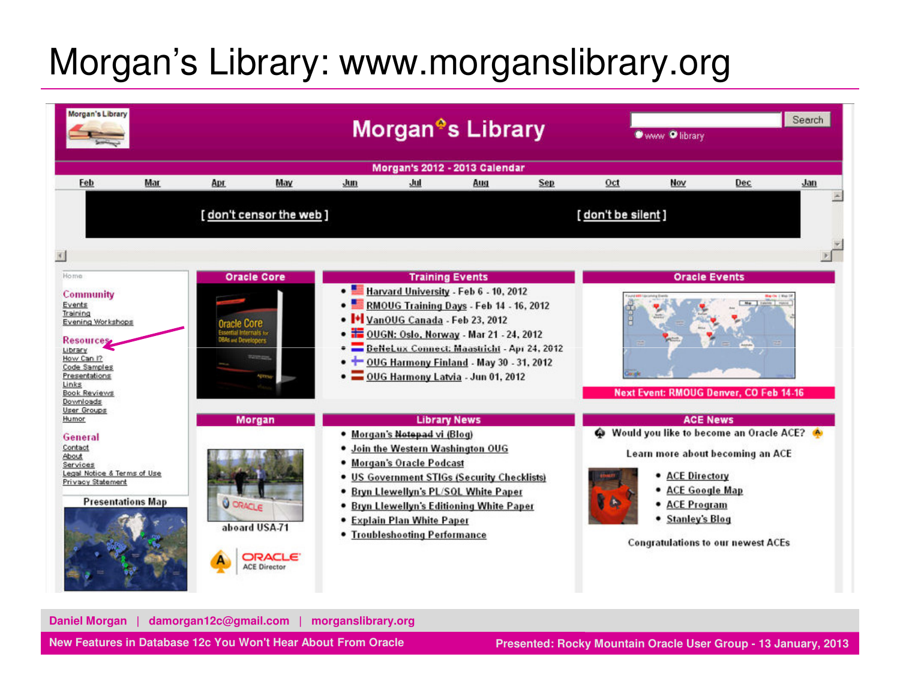# Morgan's Library: www.morganslibrary.org



**Daniel Morgan | damorgan12c@gmail.com | morganslibrary.org**

**New Features in Database 12c You Won't Hear About From Oracle**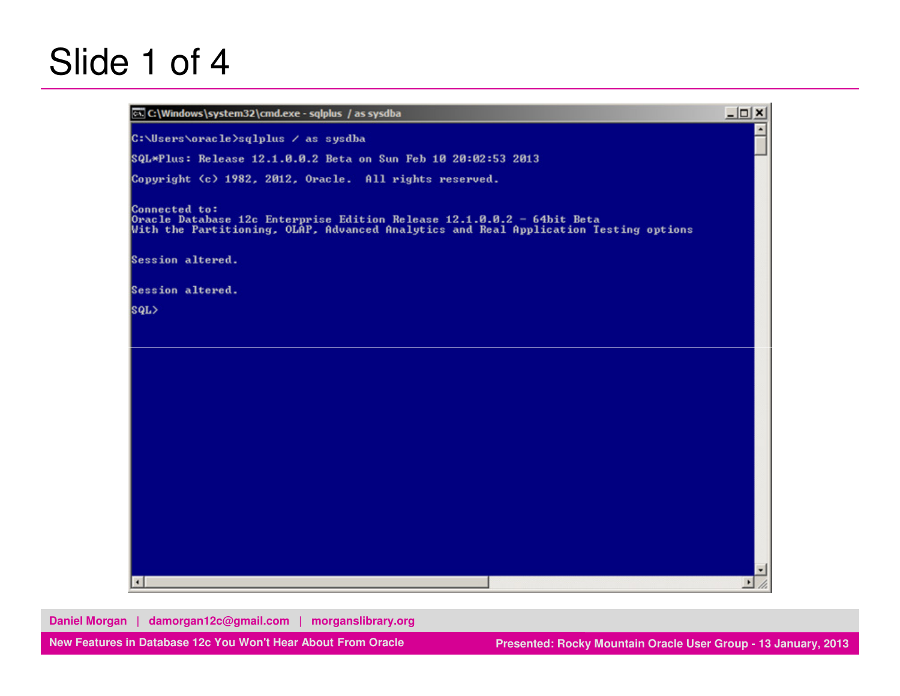### Slide 1 of 4

| $-10x$           |
|------------------|
| $\blacktriangle$ |
|                  |
|                  |
|                  |
|                  |
|                  |
|                  |
|                  |
|                  |
|                  |
|                  |
|                  |
|                  |
|                  |
|                  |
|                  |
|                  |
|                  |
|                  |
|                  |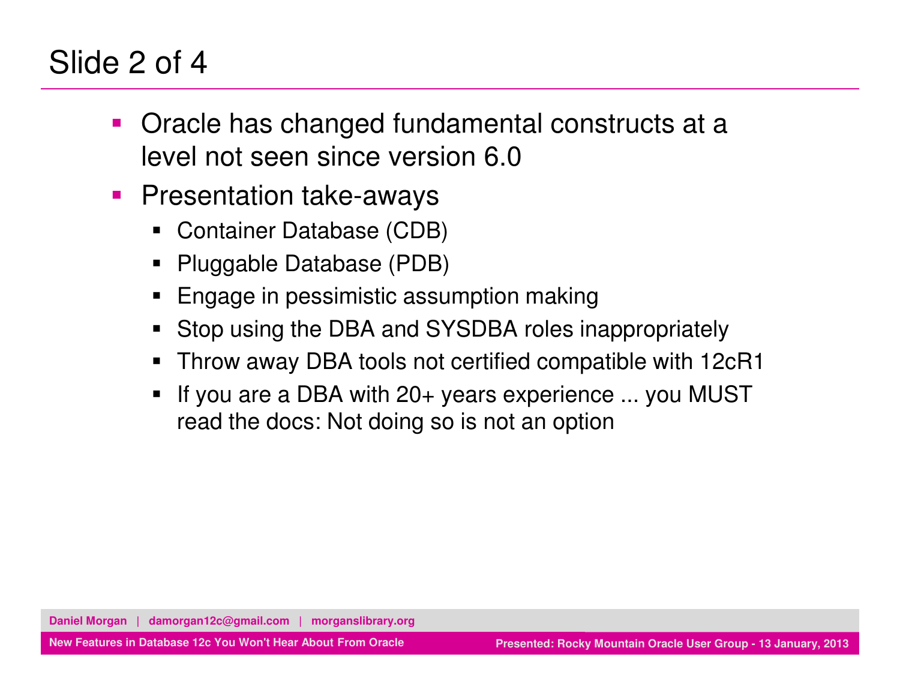#### Slide 2 of 4

- and the state of the state of the state of the state of the state of the state of the state of the state of th Oracle has changed fundamental constructs at a level not seen since version 6.0
- $\mathcal{L}_{\mathcal{A}}$  Presentation take-aways
	- Container Database (CDB)
	- Pluggable Database (PDB)
	- Engage in pessimistic assumption making
	- Stop using the DBA and SYSDBA roles inappropriately
	- Throw away DBA tools not certified compatible with 12cR1
	- ٠ If you are a DBA with 20+ years experience ... you MUST read the docs: Not doing so is not an option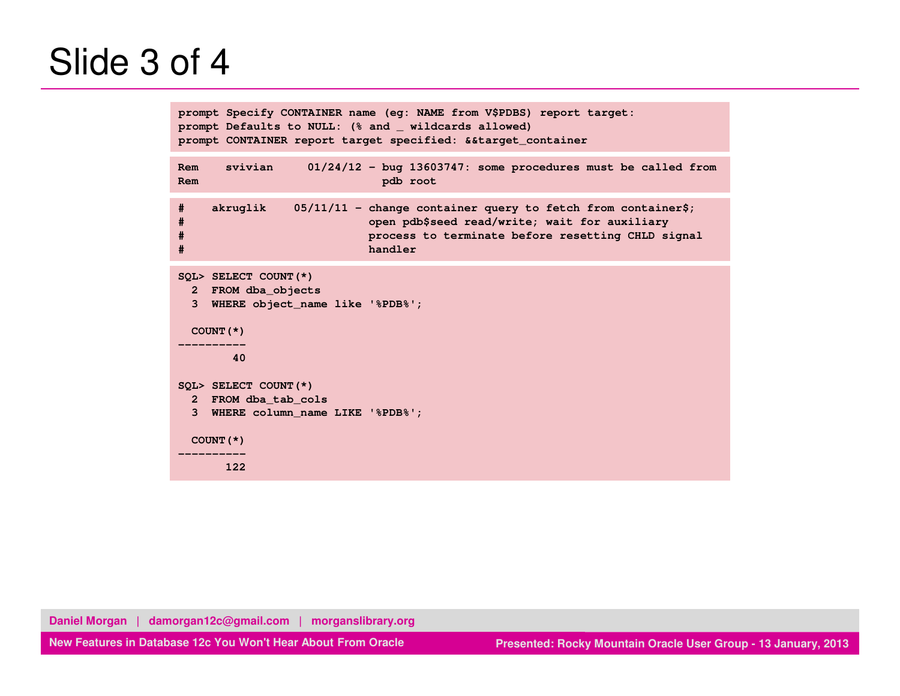## Slide 3 of 4

```
prompt Specify CONTAINER name (eg: NAME from V$PDBS) report target:prompt Defaults to NULL: (% and _ wildcards allowed)
prompt CONTAINER report target specified: &&target_containerRem svivian 01/24/12 - bug 13603747: some procedures must be called from
Rem pdb root
# akruglik 05/11/11 - change container query to fetch from container$;
# open pdb$seed read/write; wait for auxiliary 
                          # process to terminate before resetting CHLD signal # handlerSQL> SELECT COUNT(*)
2 FROM dba_objects
3 WHERE object_name like '%PDB%';
 COUNT(*) ----------\Delta0
 ----------40 SQL> SELECT COUNT(*) 2 FROM dba_tab_cols 3 WHERE column_name LIKE '%PDB%'; COUNT(*) ---------- 122
```
**Daniel Morgan | damorgan12c@gmail.com | morganslibrary.org**

**New Features in Database 12c You Won't Hear About From Oracle**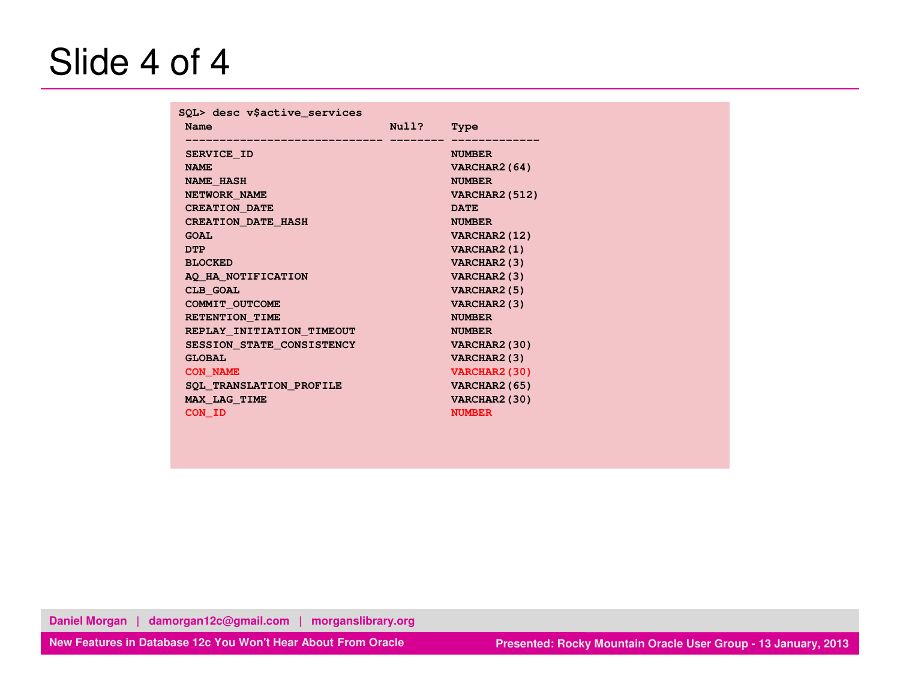## Slide 4 of 4

| SQL> desc v\$active_services |       |                       |
|------------------------------|-------|-----------------------|
| Name                         | Null? | Type                  |
| SERVICE ID                   |       | <b>NUMBER</b>         |
| <b>NAME</b>                  |       | VARCHAR2 (64)         |
| <b>NAME HASH</b>             |       | <b>NUMBER</b>         |
| NETWORK NAME                 |       | <b>VARCHAR2 (512)</b> |
| <b>CREATION_DATE</b>         |       | <b>DATE</b>           |
| <b>CREATION DATE HASH</b>    |       | <b>NUMBER</b>         |
| <b>GOAL</b>                  |       | VARCHAR2 (12)         |
| <b>DTP</b>                   |       | VARCHAR2 (1)          |
| <b>BLOCKED</b>               |       | VARCHAR2 (3)          |
| AQ HA NOTIFICATION           |       | VARCHAR2 (3)          |
| CLB GOAL                     |       | VARCHAR2 (5)          |
| COMMIT OUTCOME               |       | VARCHAR2 (3)          |
| RETENTION TIME               |       | <b>NUMBER</b>         |
| REPLAY INITIATION TIMEOUT    |       | <b>NUMBER</b>         |
| SESSION STATE CONSISTENCY    |       | VARCHAR2 (30)         |
| <b>GLOBAL</b>                |       | VARCHAR2 (3)          |
| <b>CON NAME</b>              |       | VARCHAR2 (30)         |
| SQL TRANSLATION PROFILE      |       | VARCHAR2 (65)         |
| MAX LAG TIME                 |       | VARCHAR2 (30)         |
| CON ID                       |       | <b>NUMBER</b>         |

**Daniel Morgan | damorgan12c@gmail.com | morganslibrary.org**

**New Features in Database 12c You Won't Hear About From Oracle**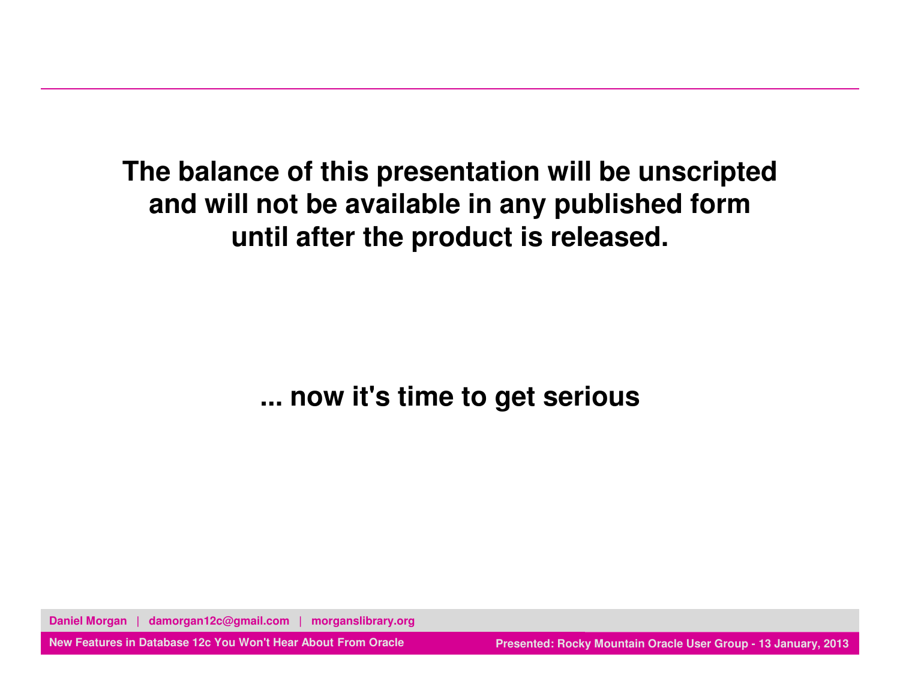**The balance of this presentation will be unscriptedand will not be available in any published formuntil after the product is released.**

**... now it's time to get serious**

**Daniel Morgan | damorgan12c@gmail.com | morganslibrary.org**

**New Features in Database 12c You Won't Hear About From Oracle**